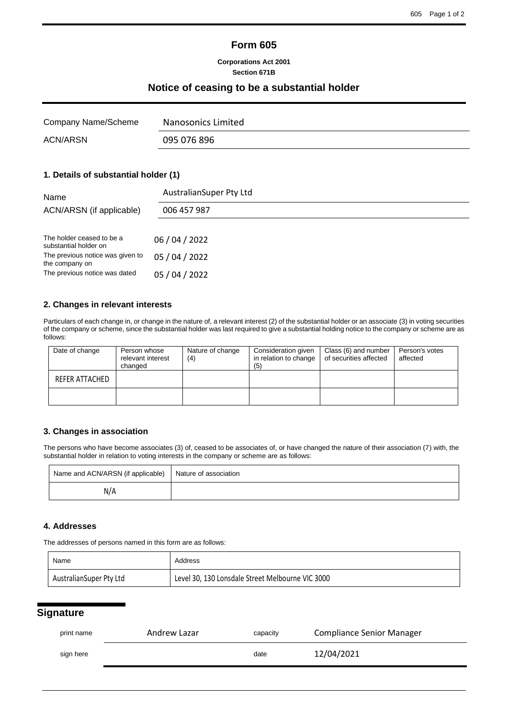## **Form 605**

#### **Corporations Act 2001 Section 671B**

### **Notice of ceasing to be a substantial holder**

| Company Name/Scheme | Nanosonics Limited |
|---------------------|--------------------|
| <b>ACN/ARSN</b>     | 095 076 896        |

## **1. Details of substantial holder (1)**

| AustralianSuper Pty Ltd |  |  |
|-------------------------|--|--|
| 006 457 987             |  |  |
|                         |  |  |
| 06 / 04 / 2022          |  |  |
| 05 / 04 / 2022          |  |  |
| 05 / 04 / 2022          |  |  |
|                         |  |  |

#### **2. Changes in relevant interests**

Particulars of each change in, or change in the nature of, a relevant interest (2) of the substantial holder or an associate (3) in voting securities of the company or scheme, since the substantial holder was last required to give a substantial holding notice to the company or scheme are as follows:

| Date of change | Person whose<br>relevant interest<br>changed | Nature of change<br>(4) | Consideration given<br>in relation to change<br>(5) | Class (6) and number<br>of securities affected | Person's votes<br>affected |
|----------------|----------------------------------------------|-------------------------|-----------------------------------------------------|------------------------------------------------|----------------------------|
| REFER ATTACHED |                                              |                         |                                                     |                                                |                            |
|                |                                              |                         |                                                     |                                                |                            |

#### **3. Changes in association**

The persons who have become associates (3) of, ceased to be associates of, or have changed the nature of their association (7) with, the substantial holder in relation to voting interests in the company or scheme are as follows:

| Name and ACN/ARSN (if applicable)   Nature of association |  |
|-----------------------------------------------------------|--|
| N/A                                                       |  |

#### **4. Addresses**

The addresses of persons named in this form are as follows:

| Name                    | Address                                          |
|-------------------------|--------------------------------------------------|
| AustralianSuper Pty Ltd | Level 30, 130 Lonsdale Street Melbourne VIC 3000 |

# **Signature**

| print name | Andrew Lazar |      | <b>Compliance Senior Manager</b> |
|------------|--------------|------|----------------------------------|
| sign here  |              | date | 12/04/2021                       |